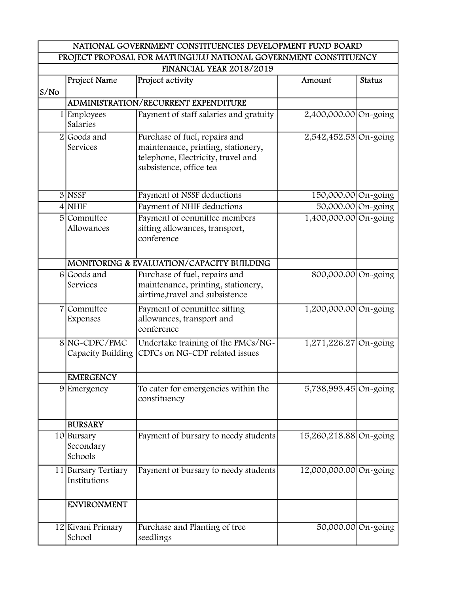| NATIONAL GOVERNMENT CONSTITUENCIES DEVELOPMENT FUND BOARD       |                                     |                                                                                                                                      |                         |               |
|-----------------------------------------------------------------|-------------------------------------|--------------------------------------------------------------------------------------------------------------------------------------|-------------------------|---------------|
| PROJECT PROPOSAL FOR MATUNGULU NATIONAL GOVERNMENT CONSTITUENCY |                                     |                                                                                                                                      |                         |               |
|                                                                 |                                     | <b>FINANCIAL YEAR 2018/2019</b>                                                                                                      |                         |               |
| S/N <sub>O</sub>                                                | Project Name                        | Project activity                                                                                                                     | Amount                  | <b>Status</b> |
|                                                                 |                                     | <b>ADMINISTRATION/RECURRENT EXPENDITURE</b>                                                                                          |                         |               |
|                                                                 | 1 Employees<br>Salaries             | Payment of staff salaries and gratuity                                                                                               | 2,400,000.00 On-going   |               |
|                                                                 | $2 $ Goods and<br>Services          | Purchase of fuel, repairs and<br>maintenance, printing, stationery,<br>telephone, Electricity, travel and<br>subsistence, office tea | 2,542,452.53 On-going   |               |
|                                                                 | $3$ NSSF                            | Payment of NSSF deductions                                                                                                           | 150,000.00 On-going     |               |
|                                                                 | $4$ NHIF                            | Payment of NHIF deductions                                                                                                           | 50,000.00 On-going      |               |
|                                                                 | 5 Committee<br>Allowances           | Payment of committee members<br>sitting allowances, transport,<br>conference                                                         | 1,400,000.00 On-going   |               |
|                                                                 |                                     | MONITORING & EVALUATION/CAPACITY BUILDING                                                                                            |                         |               |
|                                                                 | 6 Goods and<br>Services             | Purchase of fuel, repairs and<br>maintenance, printing, stationery,<br>airtime, travel and subsistence                               | 800,000.00 On-going     |               |
|                                                                 | 7 Committee<br>Expenses             | Payment of committee sitting<br>allowances, transport and<br>conference                                                              | 1,200,000.00 On-going   |               |
|                                                                 | 8 NG-CDFC/PMC<br>Capacity Building  | Undertake training of the PMCs/NG-<br>CDFCs on NG-CDF related issues                                                                 | $1,271,226.27$ On-going |               |
|                                                                 | <b>EMERGENCY</b>                    |                                                                                                                                      |                         |               |
|                                                                 | 9 Emergency                         | To cater for emergencies within the<br>constituency                                                                                  | 5,738,993.45 On-going   |               |
|                                                                 | <b>BURSARY</b>                      |                                                                                                                                      |                         |               |
|                                                                 | 10 Bursary<br>Secondary<br>Schools  | Payment of bursary to needy students                                                                                                 | 15,260,218.88 On-going  |               |
|                                                                 | 11 Bursary Tertiary<br>Institutions | Payment of bursary to needy students                                                                                                 | 12,000,000.00 On-going  |               |
|                                                                 | <b>ENVIRONMENT</b>                  |                                                                                                                                      |                         |               |
|                                                                 | 12 Kivani Primary<br>School         | Purchase and Planting of tree<br>seedlings                                                                                           | 50,000.00 On-going      |               |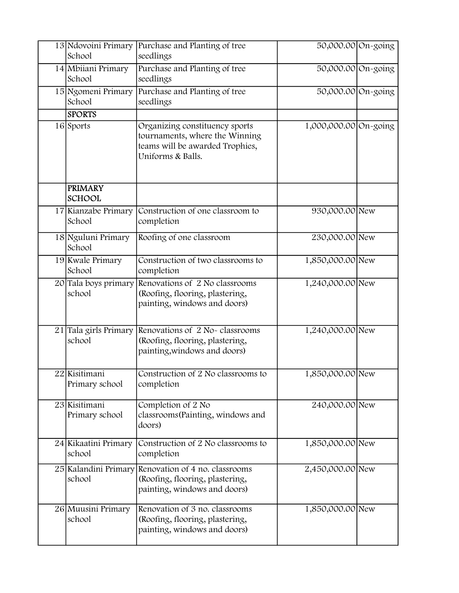| 13 Ndovoini Primary<br>School   | Purchase and Planting of tree<br>seedlings                                                                               | 50,000.00 On-going    |  |
|---------------------------------|--------------------------------------------------------------------------------------------------------------------------|-----------------------|--|
| 14 Mbiiani Primary<br>School    | Purchase and Planting of tree<br>seedlings                                                                               | 50,000.00 On-going    |  |
| 15 Ngomeni Primary<br>School    | Purchase and Planting of tree<br>seedlings                                                                               | 50,000.00 On-going    |  |
| <b>SPORTS</b>                   |                                                                                                                          |                       |  |
| 16 Sports                       | Organizing constituency sports<br>tournaments, where the Winning<br>teams will be awarded Trophies,<br>Uniforms & Balls. | 1,000,000.00 On-going |  |
| <b>PRIMARY</b><br><b>SCHOOL</b> |                                                                                                                          |                       |  |
| 17 Kianzabe Primary<br>School   | Construction of one classroom to<br>completion                                                                           | 930,000.00 New        |  |
| 18 Nguluni Primary<br>School    | Roofing of one classroom                                                                                                 | 230,000.00 New        |  |
| 19 Kwale Primary<br>School      | Construction of two classrooms to<br>completion                                                                          | 1,850,000.00 New      |  |
| 20 Tala boys primary<br>school  | Renovations of 2 No classrooms<br>(Roofing, flooring, plastering,<br>painting, windows and doors)                        | 1,240,000.00 New      |  |
| 21 Tala girls Primary<br>school | Renovations of 2 No-classrooms<br>(Roofing, flooring, plastering,<br>painting, windows and doors)                        | 1,240,000.00 New      |  |
| 22 Kisitimani<br>Primary school | Construction of 2 No classrooms to<br>completion                                                                         | 1,850,000.00 New      |  |
| 23 Kisitimani<br>Primary school | Completion of 2 No<br>classrooms (Painting, windows and<br>doors)                                                        | 240,000.00 New        |  |
| 24 Kikaatini Primary<br>school  | Construction of 2 No classrooms to<br>completion                                                                         | 1,850,000.00 New      |  |
| 25 Kalandini Primary<br>school  | Renovation of 4 no. classrooms<br>(Roofing, flooring, plastering,<br>painting, windows and doors)                        | 2,450,000.00 New      |  |
| 26 Muusini Primary<br>school    | Renovation of 3 no. classrooms<br>(Roofing, flooring, plastering,<br>painting, windows and doors)                        | 1,850,000.00 New      |  |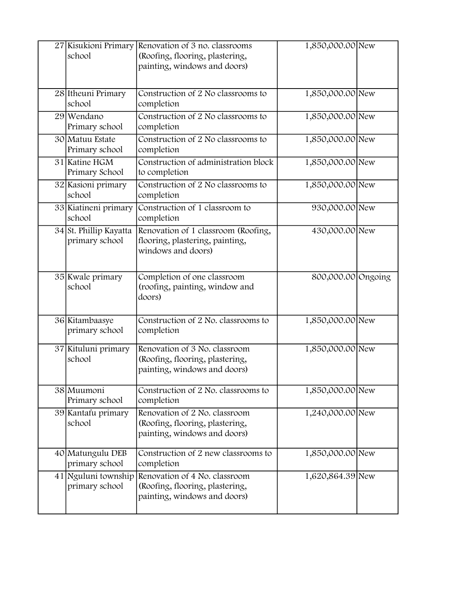| 27 Kisukioni Primary<br>school           | Renovation of 3 no. classrooms<br>(Roofing, flooring, plastering,<br>painting, windows and doors) | 1,850,000.00 New   |  |
|------------------------------------------|---------------------------------------------------------------------------------------------------|--------------------|--|
| 28 Itheuni Primary<br>school             | Construction of 2 No classrooms to<br>completion                                                  | 1,850,000.00 New   |  |
| 29 Wendano<br>Primary school             | Construction of 2 No classrooms to<br>completion                                                  | 1,850,000.00 New   |  |
| 30 Matuu Estate<br>Primary school        | Construction of 2 No classrooms to<br>completion                                                  | 1,850,000.00 New   |  |
| 31 Katine HGM<br>Primary School          | Construction of administration block<br>to completion                                             | 1,850,000.00 New   |  |
| 32 Kasioni primary<br>school             | Construction of 2 No classrooms to<br>completion                                                  | 1,850,000.00 New   |  |
| 33 Kiatineni primary<br>school           | Construction of 1 classroom to<br>completion                                                      | 930,000.00 New     |  |
| 34 St. Phillip Kayatta<br>primary school | Renovation of 1 classroom (Roofing,<br>flooring, plastering, painting,<br>windows and doors)      | 430,000.00 New     |  |
| 35 Kwale primary<br>school               | Completion of one classroom<br>(roofing, painting, window and<br>doors)                           | 800,000.00 Ongoing |  |
| 36 Kitambaasye<br>primary school         | Construction of 2 No. classrooms to<br>completion                                                 | 1,850,000.00 New   |  |
| 37 Kituluni primary<br>school            | Renovation of 3 No. classroom<br>(Roofing, flooring, plastering,<br>painting, windows and doors)  | 1,850,000.00 New   |  |
| 38 Muumoni<br>Primary school             | Construction of 2 No. classrooms to<br>completion                                                 | 1,850,000.00 New   |  |
| 39 Kantafu primary<br>school             | Renovation of 2 No. classroom<br>(Roofing, flooring, plastering,<br>painting, windows and doors)  | 1,240,000.00 New   |  |
| 40 Matungulu DEB<br>primary school       | Construction of 2 new classrooms to<br>completion                                                 | 1,850,000.00 New   |  |
| 41 Nguluni township<br>primary school    | Renovation of 4 No. classroom<br>(Roofing, flooring, plastering,<br>painting, windows and doors)  | 1,620,864.39 New   |  |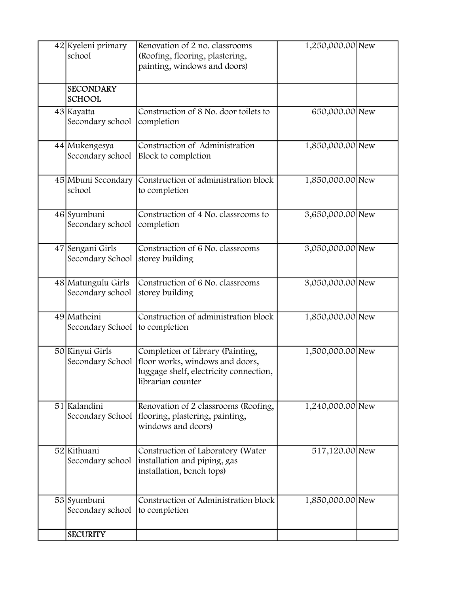| 42 Kyeleni primary<br>school           | Renovation of 2 no. classrooms<br>(Roofing, flooring, plastering,<br>painting, windows and doors)                                  | 1,250,000.00 New |  |
|----------------------------------------|------------------------------------------------------------------------------------------------------------------------------------|------------------|--|
| <b>SECONDARY</b><br><b>SCHOOL</b>      |                                                                                                                                    |                  |  |
| 43 Kayatta<br>Secondary school         | Construction of 8 No. door toilets to<br>completion                                                                                | 650,000.00 New   |  |
| 44 Mukengesya<br>Secondary school      | Construction of Administration<br>Block to completion                                                                              | 1,850,000.00 New |  |
| 45 Mbuni Secondary<br>school           | Construction of administration block<br>to completion                                                                              | 1,850,000.00 New |  |
| 46 Syumbuni<br>Secondary school        | Construction of 4 No. classrooms to<br>completion                                                                                  | 3,650,000.00 New |  |
| 47 Sengani Girls<br>Secondary School   | Construction of 6 No. classrooms<br>storey building                                                                                | 3,050,000.00 New |  |
| 48 Matungulu Girls<br>Secondary school | Construction of 6 No. classrooms<br>storey building                                                                                | 3,050,000.00 New |  |
| 49 Matheini<br>Secondary School        | Construction of administration block<br>to completion                                                                              | 1,850,000.00 New |  |
| 50 Kinyui Girls<br>Secondary School    | Completion of Library (Painting,<br>floor works, windows and doors,<br>luggage shelf, electricity connection,<br>librarian counter | 1,500,000.00 New |  |
| 51 Kalandini<br>Secondary School       | Renovation of 2 classrooms (Roofing,<br>flooring, plastering, painting,<br>windows and doors)                                      | 1,240,000.00 New |  |
| 52 Kithuani<br>Secondary school        | Construction of Laboratory (Water<br>installation and piping, gas<br>installation, bench tops)                                     | 517,120.00 New   |  |
| 53 Syumbuni<br>Secondary school        | Construction of Administration block<br>to completion                                                                              | 1,850,000.00 New |  |
| <b>SECURITY</b>                        |                                                                                                                                    |                  |  |